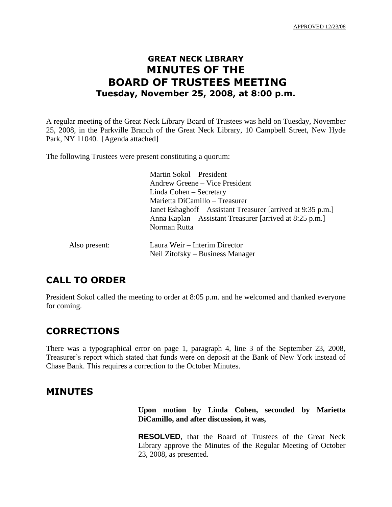# **GREAT NECK LIBRARY MINUTES OF THE BOARD OF TRUSTEES MEETING Tuesday, November 25, 2008, at 8:00 p.m.**

A regular meeting of the Great Neck Library Board of Trustees was held on Tuesday, November 25, 2008, in the Parkville Branch of the Great Neck Library, 10 Campbell Street, New Hyde Park, NY 11040. [Agenda attached]

The following Trustees were present constituting a quorum:

|               | Martin Sokol – President                                     |
|---------------|--------------------------------------------------------------|
|               | Andrew Greene – Vice President                               |
|               | Linda Cohen – Secretary                                      |
|               | Marietta DiCamillo - Treasurer                               |
|               | Janet Eshaghoff – Assistant Treasurer [arrived at 9:35 p.m.] |
|               | Anna Kaplan – Assistant Treasurer [arrived at 8:25 p.m.]     |
|               | Norman Rutta                                                 |
| Also present: | Laura Weir – Interim Director                                |
|               | Neil Zitofsky – Business Manager                             |

# **CALL TO ORDER**

President Sokol called the meeting to order at 8:05 p.m. and he welcomed and thanked everyone for coming.

# **CORRECTIONS**

There was a typographical error on page 1, paragraph 4, line 3 of the September 23, 2008, Treasurer's report which stated that funds were on deposit at the Bank of New York instead of Chase Bank. This requires a correction to the October Minutes.

# **MINUTES**

**Upon motion by Linda Cohen, seconded by Marietta DiCamillo, and after discussion, it was,**

**RESOLVED**, that the Board of Trustees of the Great Neck Library approve the Minutes of the Regular Meeting of October 23, 2008, as presented.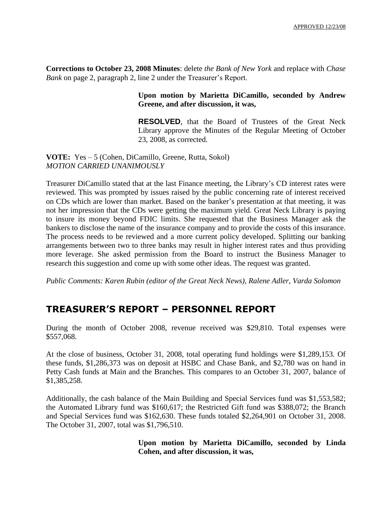**Corrections to October 23, 2008 Minutes**: delete *the Bank of New York* and replace with *Chase Bank* on page 2, paragraph 2, line 2 under the Treasurer's Report.

### **Upon motion by Marietta DiCamillo, seconded by Andrew Greene, and after discussion, it was,**

**RESOLVED**, that the Board of Trustees of the Great Neck Library approve the Minutes of the Regular Meeting of October 23, 2008, as corrected.

**VOTE:** Yes – 5 (Cohen, DiCamillo, Greene, Rutta, Sokol) *MOTION CARRIED UNANIMOUSLY*

Treasurer DiCamillo stated that at the last Finance meeting, the Library's CD interest rates were reviewed. This was prompted by issues raised by the public concerning rate of interest received on CDs which are lower than market. Based on the banker's presentation at that meeting, it was not her impression that the CDs were getting the maximum yield. Great Neck Library is paying to insure its money beyond FDIC limits. She requested that the Business Manager ask the bankers to disclose the name of the insurance company and to provide the costs of this insurance. The process needs to be reviewed and a more current policy developed. Splitting our banking arrangements between two to three banks may result in higher interest rates and thus providing more leverage. She asked permission from the Board to instruct the Business Manager to research this suggestion and come up with some other ideas. The request was granted.

*Public Comments: Karen Rubin (editor of the Great Neck News), Ralene Adler, Varda Solomon*

# **TREASURER'S REPORT – PERSONNEL REPORT**

During the month of October 2008, revenue received was \$29,810. Total expenses were \$557,068.

At the close of business, October 31, 2008, total operating fund holdings were \$1,289,153. Of these funds, \$1,286,373 was on deposit at HSBC and Chase Bank, and \$2,780 was on hand in Petty Cash funds at Main and the Branches. This compares to an October 31, 2007, balance of \$1,385,258.

Additionally, the cash balance of the Main Building and Special Services fund was \$1,553,582; the Automated Library fund was \$160,617; the Restricted Gift fund was \$388,072; the Branch and Special Services fund was \$162,630. These funds totaled \$2,264,901 on October 31, 2008. The October 31, 2007, total was \$1,796,510.

> **Upon motion by Marietta DiCamillo, seconded by Linda Cohen, and after discussion, it was,**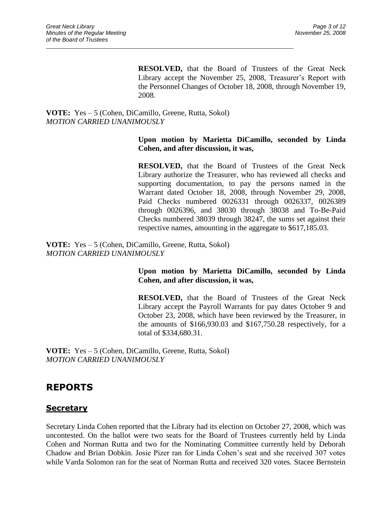**RESOLVED,** that the Board of Trustees of the Great Neck Library accept the November 25, 2008, Treasurer's Report with the Personnel Changes of October 18, 2008, through November 19, 2008.

### **VOTE:** Yes – 5 (Cohen, DiCamillo, Greene, Rutta, Sokol) *MOTION CARRIED UNANIMOUSLY*

 $\_$  ,  $\_$  ,  $\_$  ,  $\_$  ,  $\_$  ,  $\_$  ,  $\_$  ,  $\_$  ,  $\_$  ,  $\_$  ,  $\_$  ,  $\_$  ,  $\_$  ,  $\_$  ,  $\_$  ,  $\_$  ,  $\_$  ,  $\_$  ,  $\_$  ,  $\_$  ,  $\_$  ,  $\_$  ,  $\_$  ,  $\_$  ,  $\_$  ,  $\_$  ,  $\_$  ,  $\_$  ,  $\_$  ,  $\_$  ,  $\_$  ,  $\_$  ,  $\_$  ,  $\_$  ,  $\_$  ,  $\_$  ,  $\_$  ,

### **Upon motion by Marietta DiCamillo, seconded by Linda Cohen, and after discussion, it was,**

**RESOLVED,** that the Board of Trustees of the Great Neck Library authorize the Treasurer, who has reviewed all checks and supporting documentation, to pay the persons named in the Warrant dated October 18, 2008, through November 29, 2008, Paid Checks numbered 0026331 through 0026337, 0026389 through 0026396, and 38030 through 38038 and To-Be-Paid Checks numbered 38039 through 38247, the sums set against their respective names, amounting in the aggregate to \$617,185.03.

**VOTE:** Yes – 5 (Cohen, DiCamillo, Greene, Rutta, Sokol) *MOTION CARRIED UNANIMOUSLY*

## **Upon motion by Marietta DiCamillo, seconded by Linda Cohen, and after discussion, it was,**

**RESOLVED,** that the Board of Trustees of the Great Neck Library accept the Payroll Warrants for pay dates October 9 and October 23, 2008, which have been reviewed by the Treasurer, in the amounts of \$166,930.03 and \$167,750.28 respectively, for a total of \$334,680.31.

**VOTE:** Yes – 5 (Cohen, DiCamillo, Greene, Rutta, Sokol) *MOTION CARRIED UNANIMOUSLY*

# **REPORTS**

## **Secretary**

Secretary Linda Cohen reported that the Library had its election on October 27, 2008, which was uncontested. On the ballot were two seats for the Board of Trustees currently held by Linda Cohen and Norman Rutta and two for the Nominating Committee currently held by Deborah Chadow and Brian Dobkin. Josie Pizer ran for Linda Cohen's seat and she received 307 votes while Varda Solomon ran for the seat of Norman Rutta and received 320 votes. Stacee Bernstein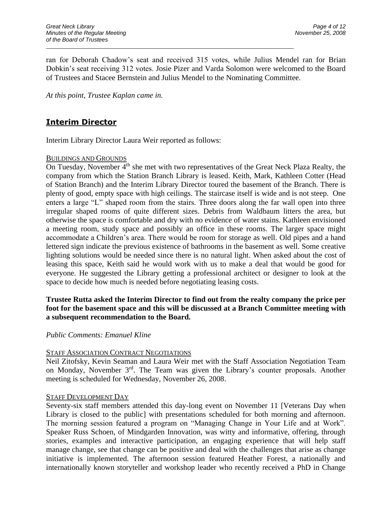ran for Deborah Chadow's seat and received 315 votes, while Julius Mendel ran for Brian Dobkin's seat receiving 312 votes. Josie Pizer and Varda Solomon were welcomed to the Board of Trustees and Stacee Bernstein and Julius Mendel to the Nominating Committee.

 $\_$  ,  $\_$  ,  $\_$  ,  $\_$  ,  $\_$  ,  $\_$  ,  $\_$  ,  $\_$  ,  $\_$  ,  $\_$  ,  $\_$  ,  $\_$  ,  $\_$  ,  $\_$  ,  $\_$  ,  $\_$  ,  $\_$  ,  $\_$  ,  $\_$  ,  $\_$  ,  $\_$  ,  $\_$  ,  $\_$  ,  $\_$  ,  $\_$  ,  $\_$  ,  $\_$  ,  $\_$  ,  $\_$  ,  $\_$  ,  $\_$  ,  $\_$  ,  $\_$  ,  $\_$  ,  $\_$  ,  $\_$  ,  $\_$  ,

*At this point, Trustee Kaplan came in.*

# **Interim Director**

Interim Library Director Laura Weir reported as follows:

### BUILDINGS AND GROUNDS

On Tuesday, November  $4<sup>th</sup>$  she met with two representatives of the Great Neck Plaza Realty, the company from which the Station Branch Library is leased. Keith, Mark, Kathleen Cotter (Head of Station Branch) and the Interim Library Director toured the basement of the Branch. There is plenty of good, empty space with high ceilings. The staircase itself is wide and is not steep. One enters a large "L" shaped room from the stairs. Three doors along the far wall open into three irregular shaped rooms of quite different sizes. Debris from Waldbaum litters the area, but otherwise the space is comfortable and dry with no evidence of water stains. Kathleen envisioned a meeting room, study space and possibly an office in these rooms. The larger space might accommodate a Children's area. There would be room for storage as well. Old pipes and a hand lettered sign indicate the previous existence of bathrooms in the basement as well. Some creative lighting solutions would be needed since there is no natural light. When asked about the cost of leasing this space, Keith said he would work with us to make a deal that would be good for everyone. He suggested the Library getting a professional architect or designer to look at the space to decide how much is needed before negotiating leasing costs.

### **Trustee Rutta asked the Interim Director to find out from the realty company the price per foot for the basement space and this will be discussed at a Branch Committee meeting with a subsequent recommendation to the Board.**

#### *Public Comments: Emanuel Kline*

#### STAFF ASSOCIATION CONTRACT NEGOTIATIONS

Neil Zitofsky, Kevin Seaman and Laura Weir met with the Staff Association Negotiation Team on Monday, November  $3<sup>rd</sup>$ . The Team was given the Library's counter proposals. Another meeting is scheduled for Wednesday, November 26, 2008.

#### STAFF DEVELOPMENT DAY

Seventy-six staff members attended this day-long event on November 11 [Veterans Day when Library is closed to the public] with presentations scheduled for both morning and afternoon. The morning session featured a program on "Managing Change in Your Life and at Work". Speaker Russ Schoen, of Mindgarden Innovation, was witty and informative, offering, through stories, examples and interactive participation, an engaging experience that will help staff manage change, see that change can be positive and deal with the challenges that arise as change initiative is implemented. The afternoon session featured Heather Forest, a nationally and internationally known storyteller and workshop leader who recently received a PhD in Change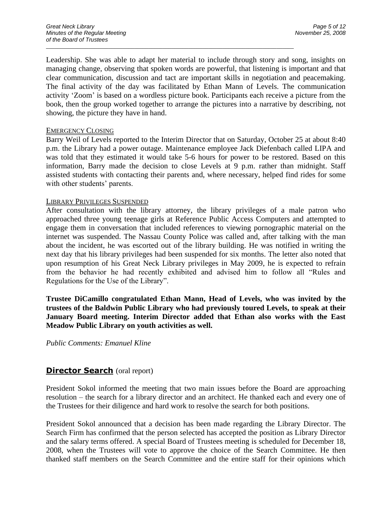Leadership. She was able to adapt her material to include through story and song, insights on managing change, observing that spoken words are powerful, that listening is important and that clear communication, discussion and tact are important skills in negotiation and peacemaking. The final activity of the day was facilitated by Ethan Mann of Levels. The communication activity 'Zoom' is based on a wordless picture book. Participants each receive a picture from the book, then the group worked together to arrange the pictures into a narrative by describing, not showing, the picture they have in hand.

 $\_$  ,  $\_$  ,  $\_$  ,  $\_$  ,  $\_$  ,  $\_$  ,  $\_$  ,  $\_$  ,  $\_$  ,  $\_$  ,  $\_$  ,  $\_$  ,  $\_$  ,  $\_$  ,  $\_$  ,  $\_$  ,  $\_$  ,  $\_$  ,  $\_$  ,  $\_$  ,  $\_$  ,  $\_$  ,  $\_$  ,  $\_$  ,  $\_$  ,  $\_$  ,  $\_$  ,  $\_$  ,  $\_$  ,  $\_$  ,  $\_$  ,  $\_$  ,  $\_$  ,  $\_$  ,  $\_$  ,  $\_$  ,  $\_$  ,

#### EMERGENCY CLOSING

Barry Weil of Levels reported to the Interim Director that on Saturday, October 25 at about 8:40 p.m. the Library had a power outage. Maintenance employee Jack Diefenbach called LIPA and was told that they estimated it would take 5-6 hours for power to be restored. Based on this information, Barry made the decision to close Levels at 9 p.m. rather than midnight. Staff assisted students with contacting their parents and, where necessary, helped find rides for some with other students' parents.

#### LIBRARY PRIVILEGES SUSPENDED

After consultation with the library attorney, the library privileges of a male patron who approached three young teenage girls at Reference Public Access Computers and attempted to engage them in conversation that included references to viewing pornographic material on the internet was suspended. The Nassau County Police was called and, after talking with the man about the incident, he was escorted out of the library building. He was notified in writing the next day that his library privileges had been suspended for six months. The letter also noted that upon resumption of his Great Neck Library privileges in May 2009, he is expected to refrain from the behavior he had recently exhibited and advised him to follow all "Rules and Regulations for the Use of the Library".

**Trustee DiCamillo congratulated Ethan Mann, Head of Levels, who was invited by the trustees of the Baldwin Public Library who had previously toured Levels, to speak at their January Board meeting. Interim Director added that Ethan also works with the East Meadow Public Library on youth activities as well.**

*Public Comments: Emanuel Kline*

## **Director Search** (oral report)

President Sokol informed the meeting that two main issues before the Board are approaching resolution – the search for a library director and an architect. He thanked each and every one of the Trustees for their diligence and hard work to resolve the search for both positions.

President Sokol announced that a decision has been made regarding the Library Director. The Search Firm has confirmed that the person selected has accepted the position as Library Director and the salary terms offered. A special Board of Trustees meeting is scheduled for December 18, 2008, when the Trustees will vote to approve the choice of the Search Committee. He then thanked staff members on the Search Committee and the entire staff for their opinions which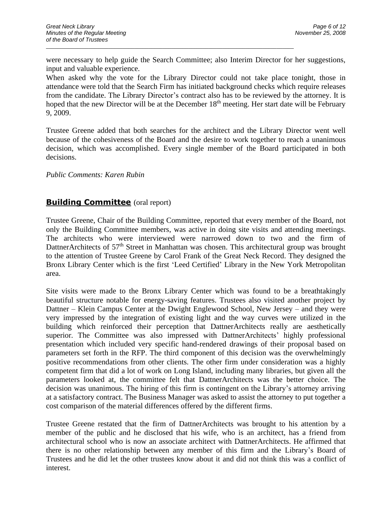were necessary to help guide the Search Committee; also Interim Director for her suggestions, input and valuable experience.

 $\_$  ,  $\_$  ,  $\_$  ,  $\_$  ,  $\_$  ,  $\_$  ,  $\_$  ,  $\_$  ,  $\_$  ,  $\_$  ,  $\_$  ,  $\_$  ,  $\_$  ,  $\_$  ,  $\_$  ,  $\_$  ,  $\_$  ,  $\_$  ,  $\_$  ,  $\_$  ,  $\_$  ,  $\_$  ,  $\_$  ,  $\_$  ,  $\_$  ,  $\_$  ,  $\_$  ,  $\_$  ,  $\_$  ,  $\_$  ,  $\_$  ,  $\_$  ,  $\_$  ,  $\_$  ,  $\_$  ,  $\_$  ,  $\_$  ,

When asked why the vote for the Library Director could not take place tonight, those in attendance were told that the Search Firm has initiated background checks which require releases from the candidate. The Library Director's contract also has to be reviewed by the attorney. It is hoped that the new Director will be at the December 18<sup>th</sup> meeting. Her start date will be February 9, 2009.

Trustee Greene added that both searches for the architect and the Library Director went well because of the cohesiveness of the Board and the desire to work together to reach a unanimous decision, which was accomplished. Every single member of the Board participated in both decisions.

#### *Public Comments: Karen Rubin*

## **Building Committee** (oral report)

Trustee Greene, Chair of the Building Committee, reported that every member of the Board, not only the Building Committee members, was active in doing site visits and attending meetings. The architects who were interviewed were narrowed down to two and the firm of DattnerArchitects of 57<sup>th</sup> Street in Manhattan was chosen. This architectural group was brought to the attention of Trustee Greene by Carol Frank of the Great Neck Record. They designed the Bronx Library Center which is the first 'Leed Certified' Library in the New York Metropolitan area.

Site visits were made to the Bronx Library Center which was found to be a breathtakingly beautiful structure notable for energy-saving features. Trustees also visited another project by Dattner – Klein Campus Center at the Dwight Englewood School, New Jersey – and they were very impressed by the integration of existing light and the way curves were utilized in the building which reinforced their perception that DattnerArchitects really are aesthetically superior. The Committee was also impressed with DattnerArchitects' highly professional presentation which included very specific hand-rendered drawings of their proposal based on parameters set forth in the RFP. The third component of this decision was the overwhelmingly positive recommendations from other clients. The other firm under consideration was a highly competent firm that did a lot of work on Long Island, including many libraries, but given all the parameters looked at, the committee felt that DattnerArchitects was the better choice. The decision was unanimous. The hiring of this firm is contingent on the Library's attorney arriving at a satisfactory contract. The Business Manager was asked to assist the attorney to put together a cost comparison of the material differences offered by the different firms.

Trustee Greene restated that the firm of DattnerArchitects was brought to his attention by a member of the public and he disclosed that his wife, who is an architect, has a friend from architectural school who is now an associate architect with DattnerArchitects. He affirmed that there is no other relationship between any member of this firm and the Library's Board of Trustees and he did let the other trustees know about it and did not think this was a conflict of interest.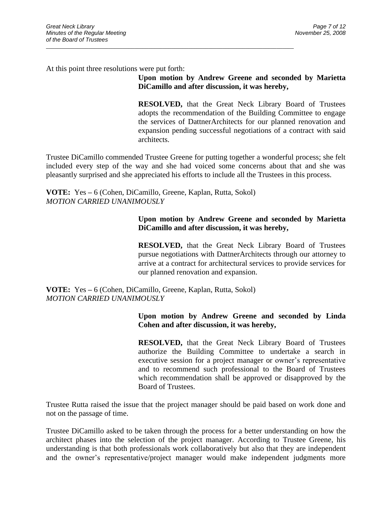At this point three resolutions were put forth:

**Upon motion by Andrew Greene and seconded by Marietta DiCamillo and after discussion, it was hereby,**

**RESOLVED,** that the Great Neck Library Board of Trustees adopts the recommendation of the Building Committee to engage the services of DattnerArchitects for our planned renovation and expansion pending successful negotiations of a contract with said architects.

Trustee DiCamillo commended Trustee Greene for putting together a wonderful process; she felt included every step of the way and she had voiced some concerns about that and she was pleasantly surprised and she appreciated his efforts to include all the Trustees in this process.

**VOTE:** Yes **–** 6 (Cohen, DiCamillo, Greene, Kaplan, Rutta, Sokol) *MOTION CARRIED UNANIMOUSLY*

 $\_$  ,  $\_$  ,  $\_$  ,  $\_$  ,  $\_$  ,  $\_$  ,  $\_$  ,  $\_$  ,  $\_$  ,  $\_$  ,  $\_$  ,  $\_$  ,  $\_$  ,  $\_$  ,  $\_$  ,  $\_$  ,  $\_$  ,  $\_$  ,  $\_$  ,  $\_$  ,  $\_$  ,  $\_$  ,  $\_$  ,  $\_$  ,  $\_$  ,  $\_$  ,  $\_$  ,  $\_$  ,  $\_$  ,  $\_$  ,  $\_$  ,  $\_$  ,  $\_$  ,  $\_$  ,  $\_$  ,  $\_$  ,  $\_$  ,

### **Upon motion by Andrew Greene and seconded by Marietta DiCamillo and after discussion, it was hereby,**

**RESOLVED,** that the Great Neck Library Board of Trustees pursue negotiations with DattnerArchitects through our attorney to arrive at a contract for architectural services to provide services for our planned renovation and expansion.

**VOTE:** Yes **–** 6 (Cohen, DiCamillo, Greene, Kaplan, Rutta, Sokol) *MOTION CARRIED UNANIMOUSLY*

### **Upon motion by Andrew Greene and seconded by Linda Cohen and after discussion, it was hereby,**

**RESOLVED,** that the Great Neck Library Board of Trustees authorize the Building Committee to undertake a search in executive session for a project manager or owner's representative and to recommend such professional to the Board of Trustees which recommendation shall be approved or disapproved by the Board of Trustees.

Trustee Rutta raised the issue that the project manager should be paid based on work done and not on the passage of time.

Trustee DiCamillo asked to be taken through the process for a better understanding on how the architect phases into the selection of the project manager. According to Trustee Greene, his understanding is that both professionals work collaboratively but also that they are independent and the owner's representative/project manager would make independent judgments more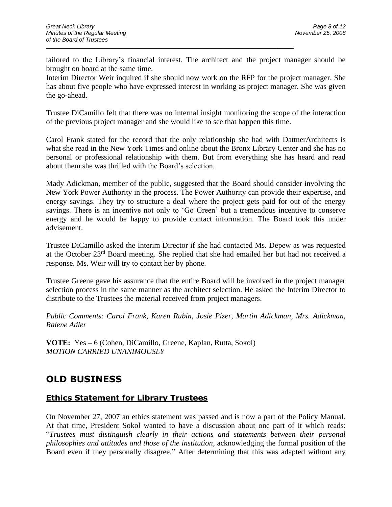tailored to the Library's financial interest. The architect and the project manager should be brought on board at the same time.

 $\_$  ,  $\_$  ,  $\_$  ,  $\_$  ,  $\_$  ,  $\_$  ,  $\_$  ,  $\_$  ,  $\_$  ,  $\_$  ,  $\_$  ,  $\_$  ,  $\_$  ,  $\_$  ,  $\_$  ,  $\_$  ,  $\_$  ,  $\_$  ,  $\_$  ,  $\_$  ,  $\_$  ,  $\_$  ,  $\_$  ,  $\_$  ,  $\_$  ,  $\_$  ,  $\_$  ,  $\_$  ,  $\_$  ,  $\_$  ,  $\_$  ,  $\_$  ,  $\_$  ,  $\_$  ,  $\_$  ,  $\_$  ,  $\_$  ,

Interim Director Weir inquired if she should now work on the RFP for the project manager. She has about five people who have expressed interest in working as project manager. She was given the go-ahead.

Trustee DiCamillo felt that there was no internal insight monitoring the scope of the interaction of the previous project manager and she would like to see that happen this time.

Carol Frank stated for the record that the only relationship she had with DattnerArchitects is what she read in the New York Times and online about the Bronx Library Center and she has no personal or professional relationship with them. But from everything she has heard and read about them she was thrilled with the Board's selection.

Mady Adickman, member of the public, suggested that the Board should consider involving the New York Power Authority in the process. The Power Authority can provide their expertise, and energy savings. They try to structure a deal where the project gets paid for out of the energy savings. There is an incentive not only to 'Go Green' but a tremendous incentive to conserve energy and he would be happy to provide contact information. The Board took this under advisement.

Trustee DiCamillo asked the Interim Director if she had contacted Ms. Depew as was requested at the October 23rd Board meeting. She replied that she had emailed her but had not received a response. Ms. Weir will try to contact her by phone.

Trustee Greene gave his assurance that the entire Board will be involved in the project manager selection process in the same manner as the architect selection. He asked the Interim Director to distribute to the Trustees the material received from project managers.

*Public Comments: Carol Frank, Karen Rubin, Josie Pizer, Martin Adickman, Mrs. Adickman, Ralene Adler*

**VOTE:** Yes **–** 6 (Cohen, DiCamillo, Greene, Kaplan, Rutta, Sokol) *MOTION CARRIED UNANIMOUSLY*

# **OLD BUSINESS**

## **Ethics Statement for Library Trustees**

On November 27, 2007 an ethics statement was passed and is now a part of the Policy Manual. At that time, President Sokol wanted to have a discussion about one part of it which reads: "*Trustees must distinguish clearly in their actions and statements between their personal philosophies and attitudes and those of the institution*, acknowledging the formal position of the Board even if they personally disagree." After determining that this was adapted without any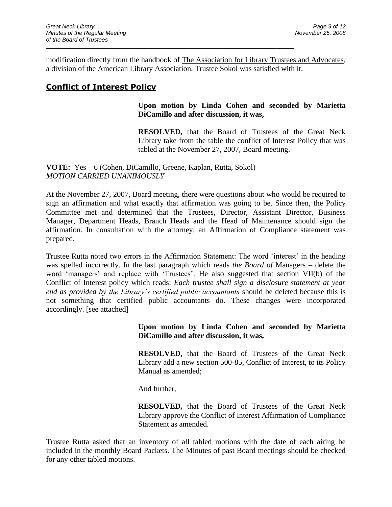modification directly from the handbook of The Association for Library Trustees and Advocates, a division of the American Library Association, Trustee Sokol was satisfied with it.

 $\_$  ,  $\_$  ,  $\_$  ,  $\_$  ,  $\_$  ,  $\_$  ,  $\_$  ,  $\_$  ,  $\_$  ,  $\_$  ,  $\_$  ,  $\_$  ,  $\_$  ,  $\_$  ,  $\_$  ,  $\_$  ,  $\_$  ,  $\_$  ,  $\_$  ,  $\_$  ,  $\_$  ,  $\_$  ,  $\_$  ,  $\_$  ,  $\_$  ,  $\_$  ,  $\_$  ,  $\_$  ,  $\_$  ,  $\_$  ,  $\_$  ,  $\_$  ,  $\_$  ,  $\_$  ,  $\_$  ,  $\_$  ,  $\_$  ,

# **Conflict of Interest Policy**

## **Upon motion by Linda Cohen and seconded by Marietta DiCamillo and after discussion, it was,**

**RESOLVED,** that the Board of Trustees of the Great Neck Library take from the table the conflict of Interest Policy that was tabled at the November 27, 2007, Board meeting.

**VOTE:** Yes **–** 6 (Cohen, DiCamillo, Greene, Kaplan, Rutta, Sokol) *MOTION CARRIED UNANIMOUSLY*

At the November 27, 2007, Board meeting, there were questions about who would be required to sign an affirmation and what exactly that affirmation was going to be. Since then, the Policy Committee met and determined that the Trustees, Director, Assistant Director, Business Manager, Department Heads, Branch Heads and the Head of Maintenance should sign the affirmation. In consultation with the attorney, an Affirmation of Compliance statement was prepared.

Trustee Rutta noted two errors in the Affirmation Statement: The word 'interest' in the heading was spelled incorrectly. In the last paragraph which reads *the Board of* Managers – delete the word 'managers' and replace with 'Trustees'. He also suggested that section VII(b) of the Conflict of Interest policy which reads: *Each trustee shall sign a disclosure statement at year end as provided by the Library's certified public accountants* should be deleted because this is not something that certified public accountants do. These changes were incorporated accordingly. [see attached]

> **Upon motion by Linda Cohen and seconded by Marietta DiCamillo and after discussion, it was,**

> **RESOLVED,** that the Board of Trustees of the Great Neck Library add a new section 500-85, Conflict of Interest, to its Policy Manual as amended;

And further,

**RESOLVED,** that the Board of Trustees of the Great Neck Library approve the Conflict of Interest Affirmation of Compliance Statement as amended.

Trustee Rutta asked that an inventory of all tabled motions with the date of each airing be included in the monthly Board Packets. The Minutes of past Board meetings should be checked for any other tabled motions.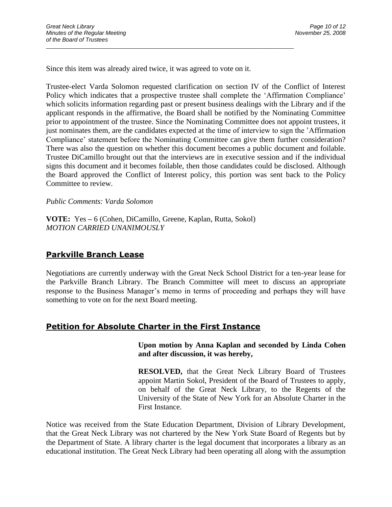Since this item was already aired twice, it was agreed to vote on it.

 $\_$  ,  $\_$  ,  $\_$  ,  $\_$  ,  $\_$  ,  $\_$  ,  $\_$  ,  $\_$  ,  $\_$  ,  $\_$  ,  $\_$  ,  $\_$  ,  $\_$  ,  $\_$  ,  $\_$  ,  $\_$  ,  $\_$  ,  $\_$  ,  $\_$  ,  $\_$  ,  $\_$  ,  $\_$  ,  $\_$  ,  $\_$  ,  $\_$  ,  $\_$  ,  $\_$  ,  $\_$  ,  $\_$  ,  $\_$  ,  $\_$  ,  $\_$  ,  $\_$  ,  $\_$  ,  $\_$  ,  $\_$  ,  $\_$  ,

Trustee-elect Varda Solomon requested clarification on section IV of the Conflict of Interest Policy which indicates that a prospective trustee shall complete the 'Affirmation Compliance' which solicits information regarding past or present business dealings with the Library and if the applicant responds in the affirmative, the Board shall be notified by the Nominating Committee prior to appointment of the trustee. Since the Nominating Committee does not appoint trustees, it just nominates them, are the candidates expected at the time of interview to sign the 'Affirmation Compliance' statement before the Nominating Committee can give them further consideration? There was also the question on whether this document becomes a public document and foilable. Trustee DiCamillo brought out that the interviews are in executive session and if the individual signs this document and it becomes foilable, then those candidates could be disclosed. Although the Board approved the Conflict of Interest policy, this portion was sent back to the Policy Committee to review.

*Public Comments: Varda Solomon*

**VOTE:** Yes **–** 6 (Cohen, DiCamillo, Greene, Kaplan, Rutta, Sokol) *MOTION CARRIED UNANIMOUSLY*

## **Parkville Branch Lease**

Negotiations are currently underway with the Great Neck School District for a ten-year lease for the Parkville Branch Library. The Branch Committee will meet to discuss an appropriate response to the Business Manager's memo in terms of proceeding and perhaps they will have something to vote on for the next Board meeting.

## **Petition for Absolute Charter in the First Instance**

**Upon motion by Anna Kaplan and seconded by Linda Cohen and after discussion, it was hereby,**

**RESOLVED,** that the Great Neck Library Board of Trustees appoint Martin Sokol, President of the Board of Trustees to apply, on behalf of the Great Neck Library, to the Regents of the University of the State of New York for an Absolute Charter in the First Instance.

Notice was received from the State Education Department, Division of Library Development, that the Great Neck Library was not chartered by the New York State Board of Regents but by the Department of State. A library charter is the legal document that incorporates a library as an educational institution. The Great Neck Library had been operating all along with the assumption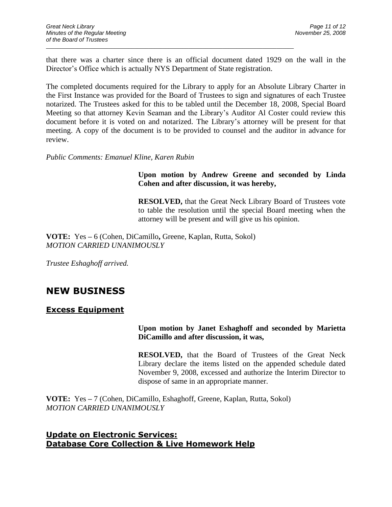that there was a charter since there is an official document dated 1929 on the wall in the Director's Office which is actually NYS Department of State registration.

 $\_$  ,  $\_$  ,  $\_$  ,  $\_$  ,  $\_$  ,  $\_$  ,  $\_$  ,  $\_$  ,  $\_$  ,  $\_$  ,  $\_$  ,  $\_$  ,  $\_$  ,  $\_$  ,  $\_$  ,  $\_$  ,  $\_$  ,  $\_$  ,  $\_$  ,  $\_$  ,  $\_$  ,  $\_$  ,  $\_$  ,  $\_$  ,  $\_$  ,  $\_$  ,  $\_$  ,  $\_$  ,  $\_$  ,  $\_$  ,  $\_$  ,  $\_$  ,  $\_$  ,  $\_$  ,  $\_$  ,  $\_$  ,  $\_$  ,

The completed documents required for the Library to apply for an Absolute Library Charter in the First Instance was provided for the Board of Trustees to sign and signatures of each Trustee notarized. The Trustees asked for this to be tabled until the December 18, 2008, Special Board Meeting so that attorney Kevin Seaman and the Library's Auditor Al Coster could review this document before it is voted on and notarized. The Library's attorney will be present for that meeting. A copy of the document is to be provided to counsel and the auditor in advance for review.

*Public Comments: Emanuel Kline, Karen Rubin*

## **Upon motion by Andrew Greene and seconded by Linda Cohen and after discussion, it was hereby,**

**RESOLVED,** that the Great Neck Library Board of Trustees vote to table the resolution until the special Board meeting when the attorney will be present and will give us his opinion.

**VOTE:** Yes **–** 6 (Cohen, DiCamillo**,** Greene, Kaplan, Rutta, Sokol) *MOTION CARRIED UNANIMOUSLY*

*Trustee Eshaghoff arrived.*

# **NEW BUSINESS**

## **Excess Equipment**

### **Upon motion by Janet Eshaghoff and seconded by Marietta DiCamillo and after discussion, it was,**

**RESOLVED,** that the Board of Trustees of the Great Neck Library declare the items listed on the appended schedule dated November 9, 2008, excessed and authorize the Interim Director to dispose of same in an appropriate manner.

**VOTE:** Yes **–** 7 (Cohen, DiCamillo, Eshaghoff, Greene, Kaplan, Rutta, Sokol) *MOTION CARRIED UNANIMOUSLY*

## **Update on Electronic Services: Database Core Collection & Live Homework Help**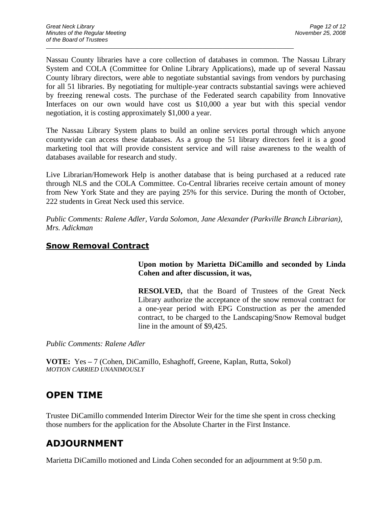Nassau County libraries have a core collection of databases in common. The Nassau Library System and COLA (Committee for Online Library Applications), made up of several Nassau County library directors, were able to negotiate substantial savings from vendors by purchasing for all 51 libraries. By negotiating for multiple-year contracts substantial savings were achieved by freezing renewal costs. The purchase of the Federated search capability from Innovative Interfaces on our own would have cost us \$10,000 a year but with this special vendor negotiation, it is costing approximately \$1,000 a year.

 $\_$  ,  $\_$  ,  $\_$  ,  $\_$  ,  $\_$  ,  $\_$  ,  $\_$  ,  $\_$  ,  $\_$  ,  $\_$  ,  $\_$  ,  $\_$  ,  $\_$  ,  $\_$  ,  $\_$  ,  $\_$  ,  $\_$  ,  $\_$  ,  $\_$  ,  $\_$  ,  $\_$  ,  $\_$  ,  $\_$  ,  $\_$  ,  $\_$  ,  $\_$  ,  $\_$  ,  $\_$  ,  $\_$  ,  $\_$  ,  $\_$  ,  $\_$  ,  $\_$  ,  $\_$  ,  $\_$  ,  $\_$  ,  $\_$  ,

The Nassau Library System plans to build an online services portal through which anyone countywide can access these databases. As a group the 51 library directors feel it is a good marketing tool that will provide consistent service and will raise awareness to the wealth of databases available for research and study.

Live Librarian/Homework Help is another database that is being purchased at a reduced rate through NLS and the COLA Committee. Co-Central libraries receive certain amount of money from New York State and they are paying 25% for this service. During the month of October, 222 students in Great Neck used this service.

*Public Comments: Ralene Adler, Varda Solomon, Jane Alexander (Parkville Branch Librarian), Mrs. Adickman*

## **Snow Removal Contract**

**Upon motion by Marietta DiCamillo and seconded by Linda Cohen and after discussion, it was,**

**RESOLVED,** that the Board of Trustees of the Great Neck Library authorize the acceptance of the snow removal contract for a one-year period with EPG Construction as per the amended contract, to be charged to the Landscaping/Snow Removal budget line in the amount of \$9,425.

*Public Comments: Ralene Adler*

**VOTE:** Yes **–** 7 (Cohen, DiCamillo, Eshaghoff, Greene, Kaplan, Rutta, Sokol) *MOTION CARRIED UNANIMOUSLY*

# **OPEN TIME**

Trustee DiCamillo commended Interim Director Weir for the time she spent in cross checking those numbers for the application for the Absolute Charter in the First Instance.

# **ADJOURNMENT**

Marietta DiCamillo motioned and Linda Cohen seconded for an adjournment at 9:50 p.m.